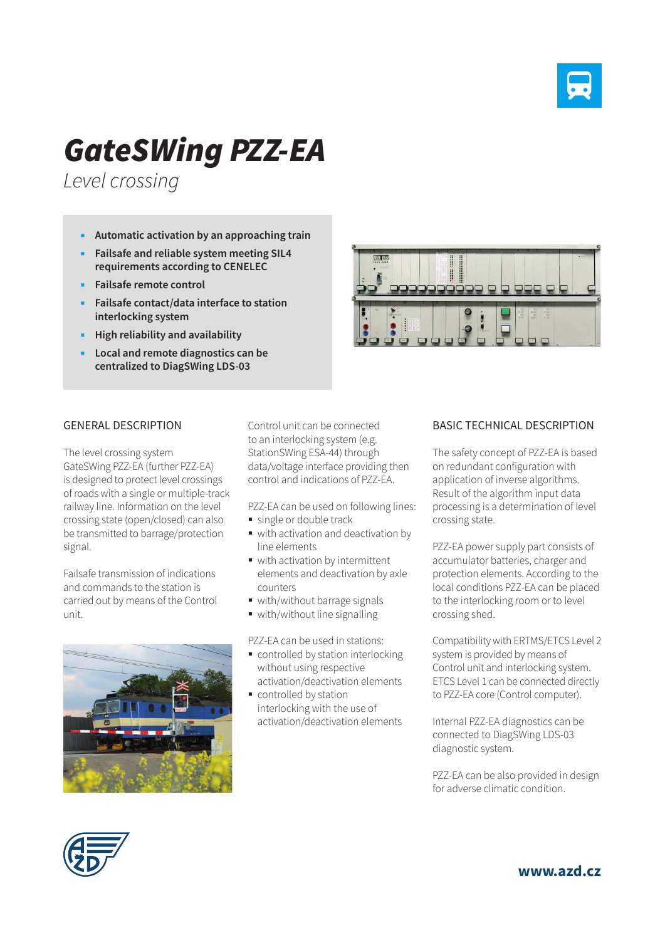

## *GateSWing PZZ-EA*

*Level crossing*

- **Automatic activation by an approaching train**
- **Failsafe and reliable system meeting SIL4 requirements according to CENELEC**
- **Failsafe remote control**
- **Failsafe contact/data interface to station interlocking system**
- **High reliability and availability**
- **Local and remote diagnostics can be centralized to DiagSWing LDS-03**



## GENERAL DESCRIPTION

The level crossing system GateSWing PZZ-EA (further PZZ-EA) is designed to protect level crossings of roads with a single or multiple-track railway line. Information on the level crossing state (open/closed) can also be transmitted to barrage/protection signal.

Failsafe transmission of indications and commands to the station is carried out by means of the Control unit.



Control unit can be connected to an interlocking system (e.g. StationSWing ESA-44) through data/voltage interface providing then control and indications of PZZ-EA.

PZZ-EA can be used on following lines:

- single or double track
- with activation and deactivation by line elements
- with activation by intermittent elements and deactivation by axle counters
- with/without barrage signals
- with/without line signalling

PZZ-EA can be used in stations:

- controlled by station interlocking without using respective activation/deactivation elements
- controlled by station interlocking with the use of activation/deactivation elements

## BASIC TECHNICAL DESCRIPTION

The safety concept of PZZ-EA is based on redundant configuration with application of inverse algorithms. Result of the algorithm input data processing is a determination of level crossing state.

PZZ-EA power supply part consists of accumulator batteries, charger and protection elements. According to the local conditions PZZ-EA can be placed to the interlocking room or to level crossing shed.

Compatibility with ERTMS/ETCS Level 2 system is provided by means of Control unit and interlocking system. ETCS Level 1 can be connected directly to PZZ-EA core (Control computer).

Internal PZZ-EA diagnostics can be connected to DiagSWing LDS-03 diagnostic system.

PZZ-EA can be also provided in design for adverse climatic condition.



**www.azd.cz**